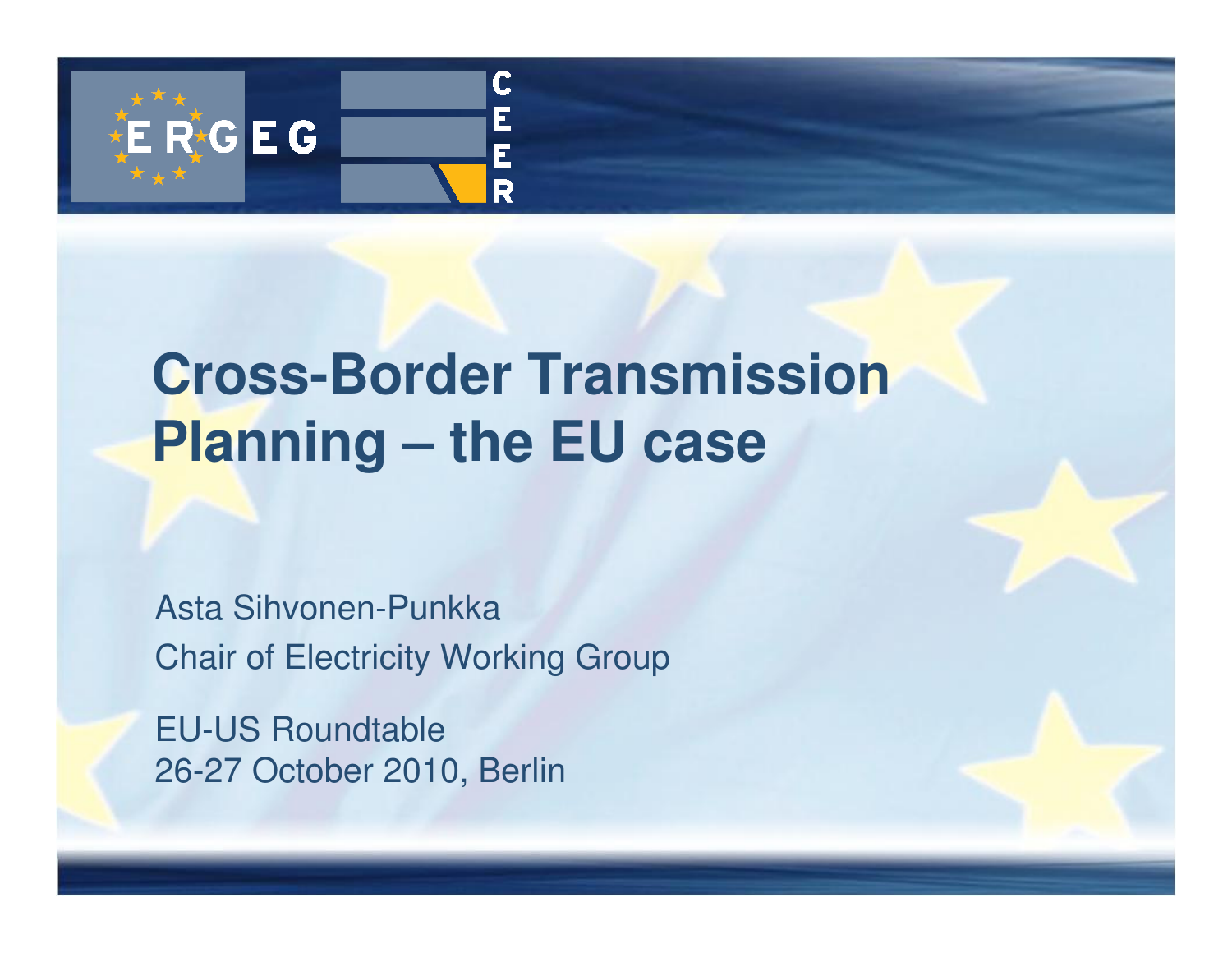

## **Cross-Border Transmission Planning – the EU case**

Asta Sihvonen-PunkkaChair of Electricity Working Group

EU-US Roundtable26-27 October 2010, Berlin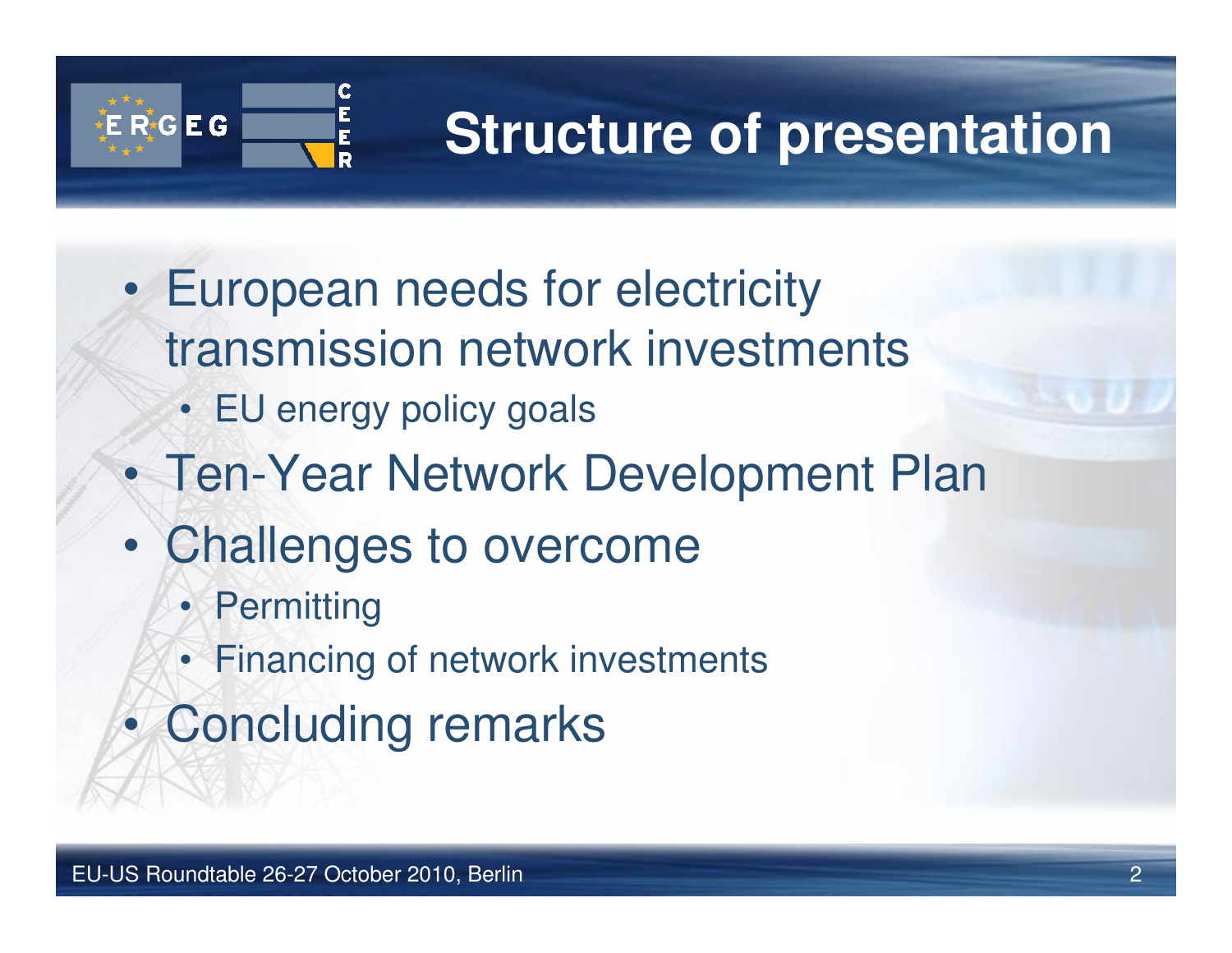

## **Structure of presentation**

- • European needs for electricity transmission network investments
	- EU energy policy goals
- •Ten-Year Network Development Plan
- • Challenges to overcome
	- Permitting
	- Financing of network investments
- $\bullet$ Concluding remarks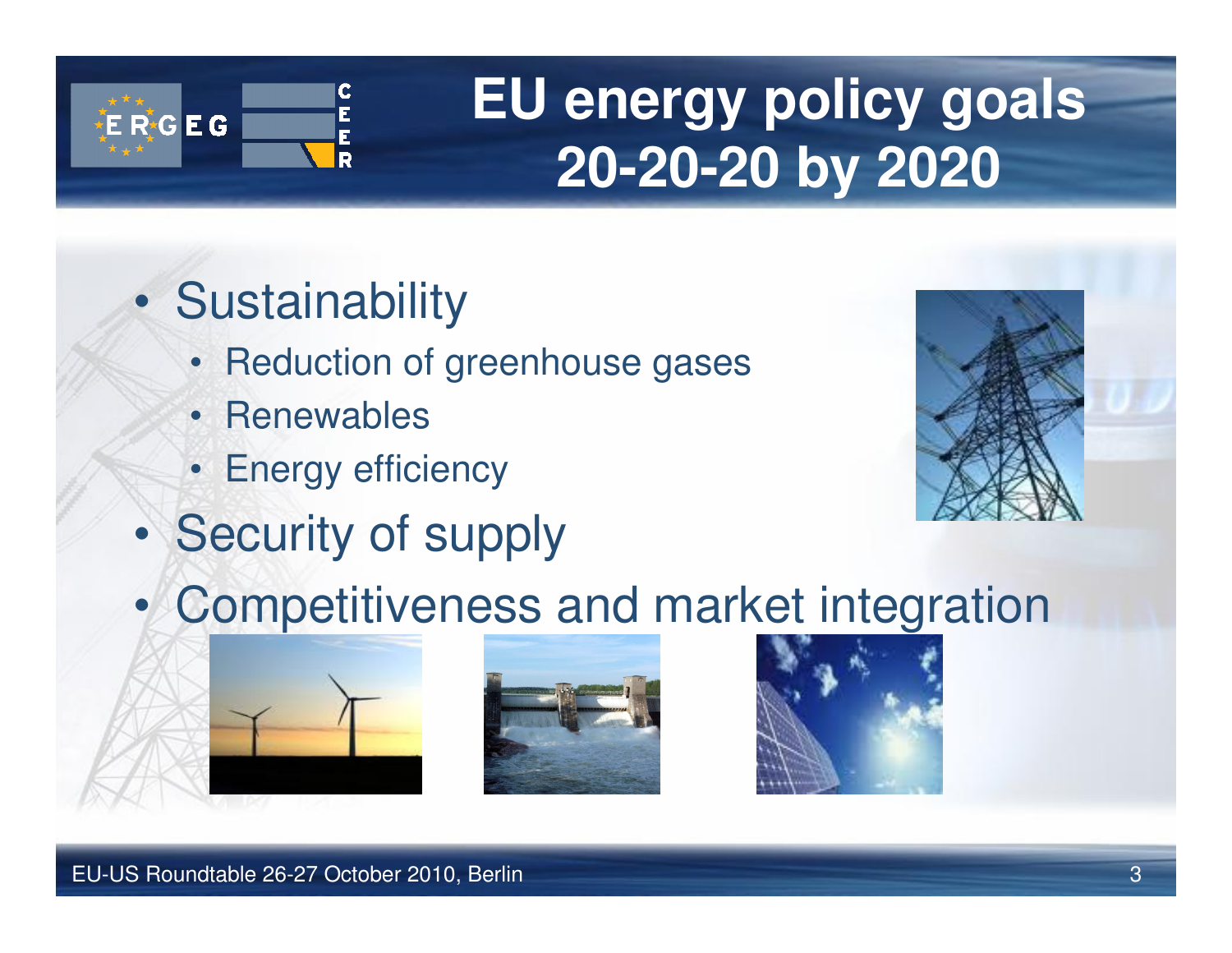

## **EU energy policy goals20-20-20 by 2020**

- $\bullet$ **Sustainability** 
	- Reduction of greenhouse gases•
	- Renewables
	- Energy efficiency
- •Security of supply



•Competitiveness and market integration



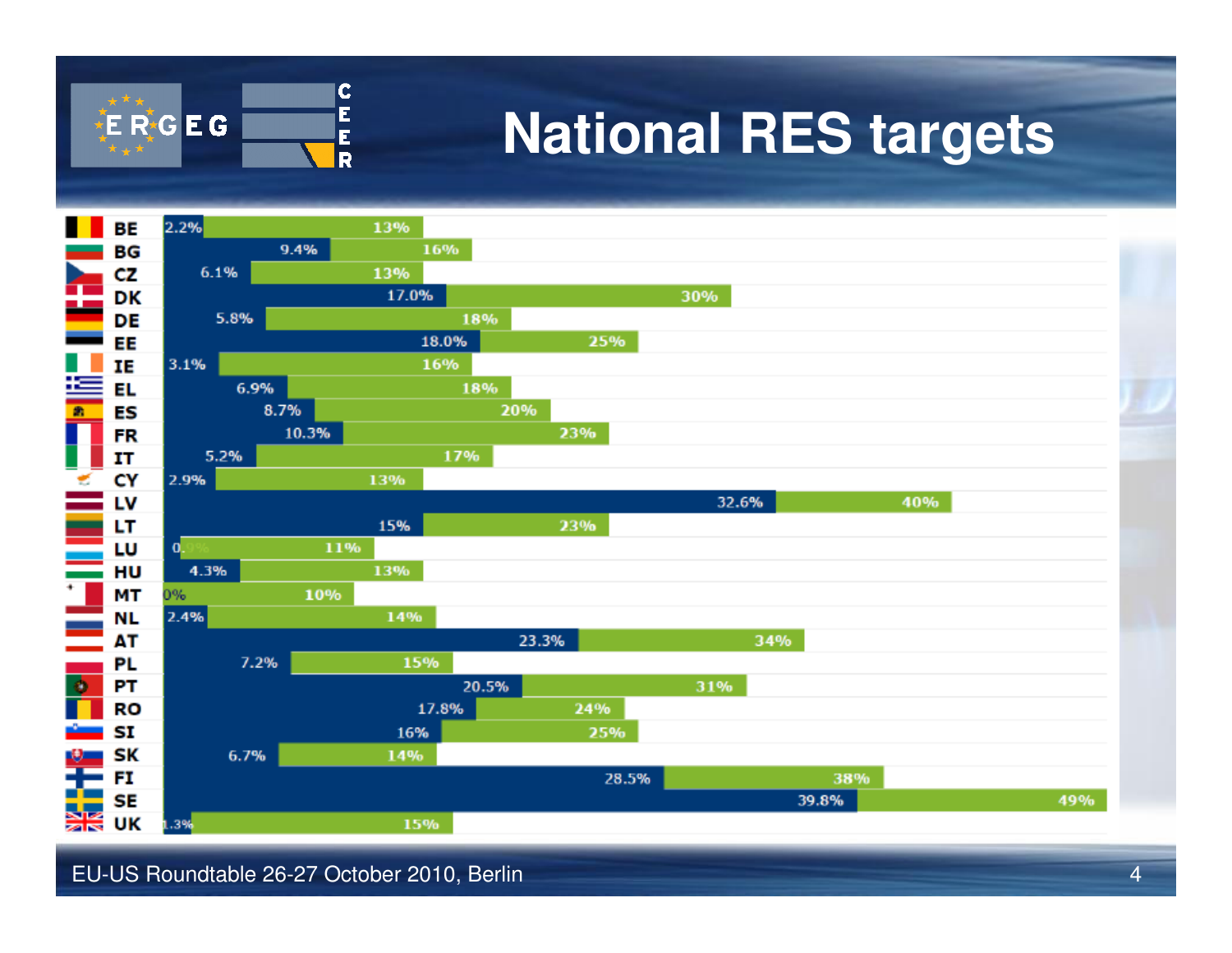

## **National RES targets**



EU-US Roundtable 26-27 October 2010, Berlin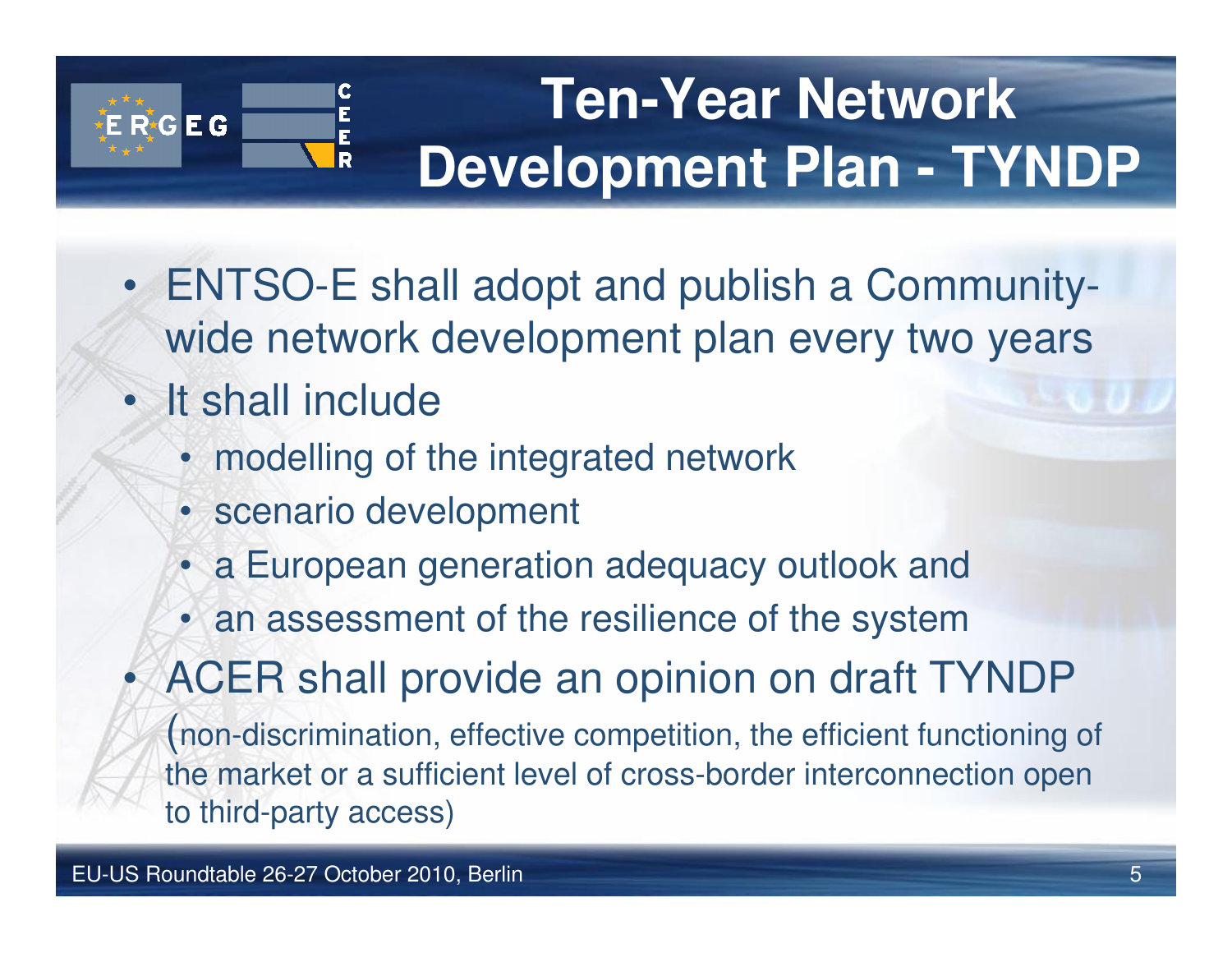

# **Ten-Year Network Development Plan - TYNDP**

- ENTSO-E shall adopt and publish a Communitywide network development plan every two years
- •It shall include
	- modelling of the integrated network
	- scenario development
	- a European generation adequacy outlook and
	- an assessment of the resilience of the system
- ACER shall provide an opinion on draft TYNDP •

(non-discrimination, effective competition, the efficient functioning of the market or a sufficient level of cross-border interconnection open to third-party access)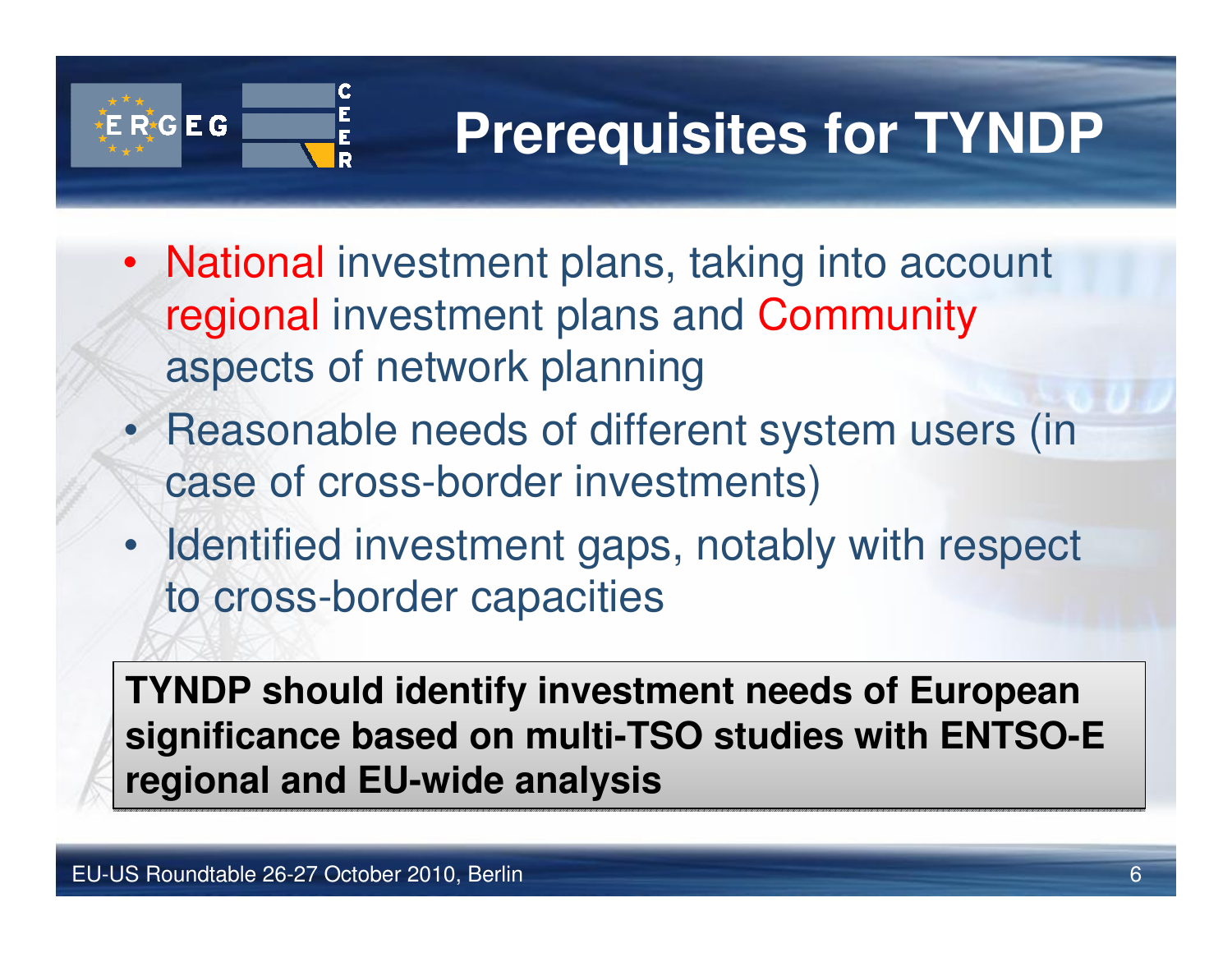

## **Prerequisites for TYNDP**

- National investment plans, taking into account regional investment plans and Communityaspects of network planning
- Reasonable needs of different system users (in case of cross-border investments)
- Identified investment gaps, notably with respect to cross-border capacities

**TYNDP should identify investment needs of European significance based on multi-TSO studies with ENTSO-E regional and EU-wide analysis**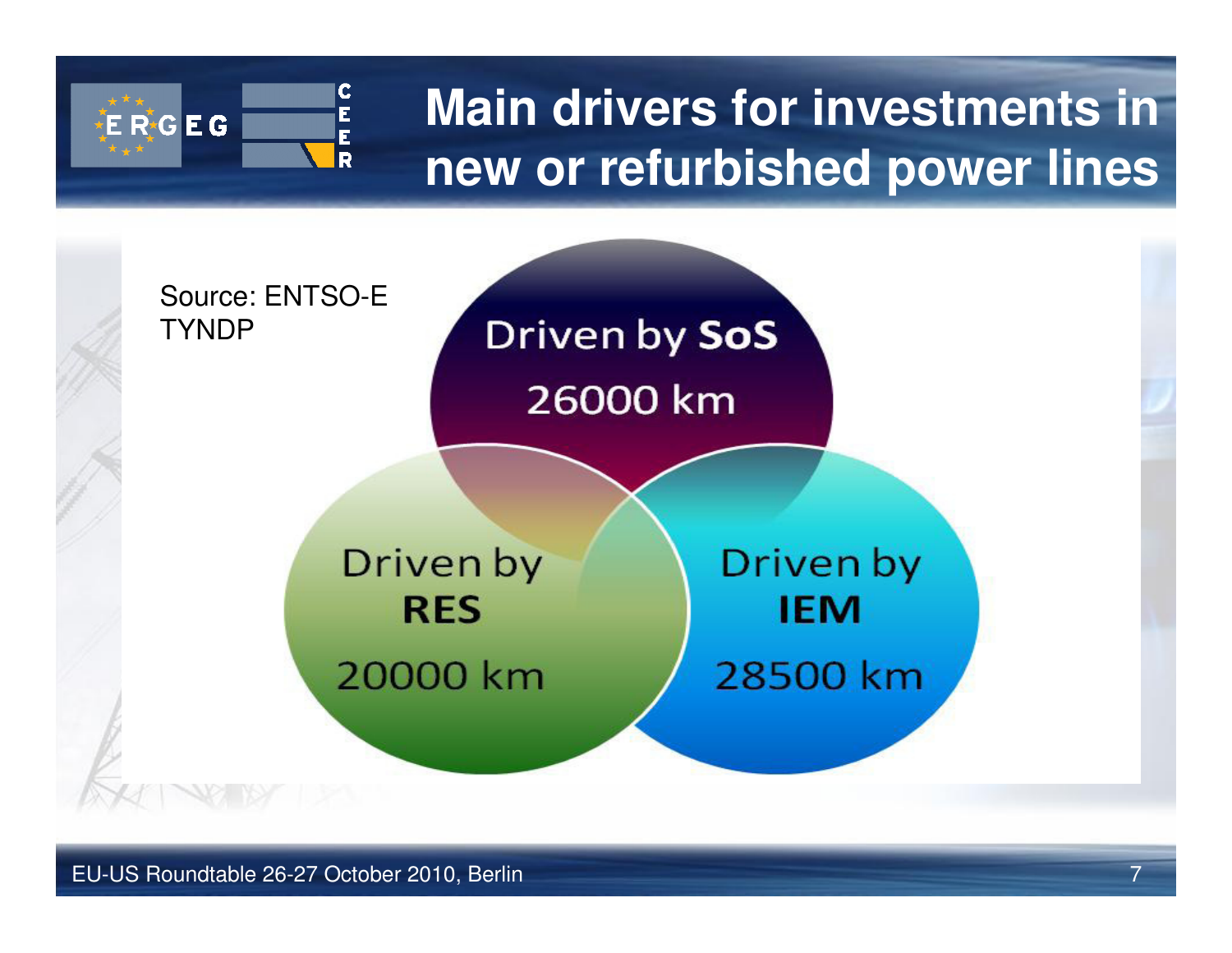

#### **Main drivers for investments in new or refurbished power lines**

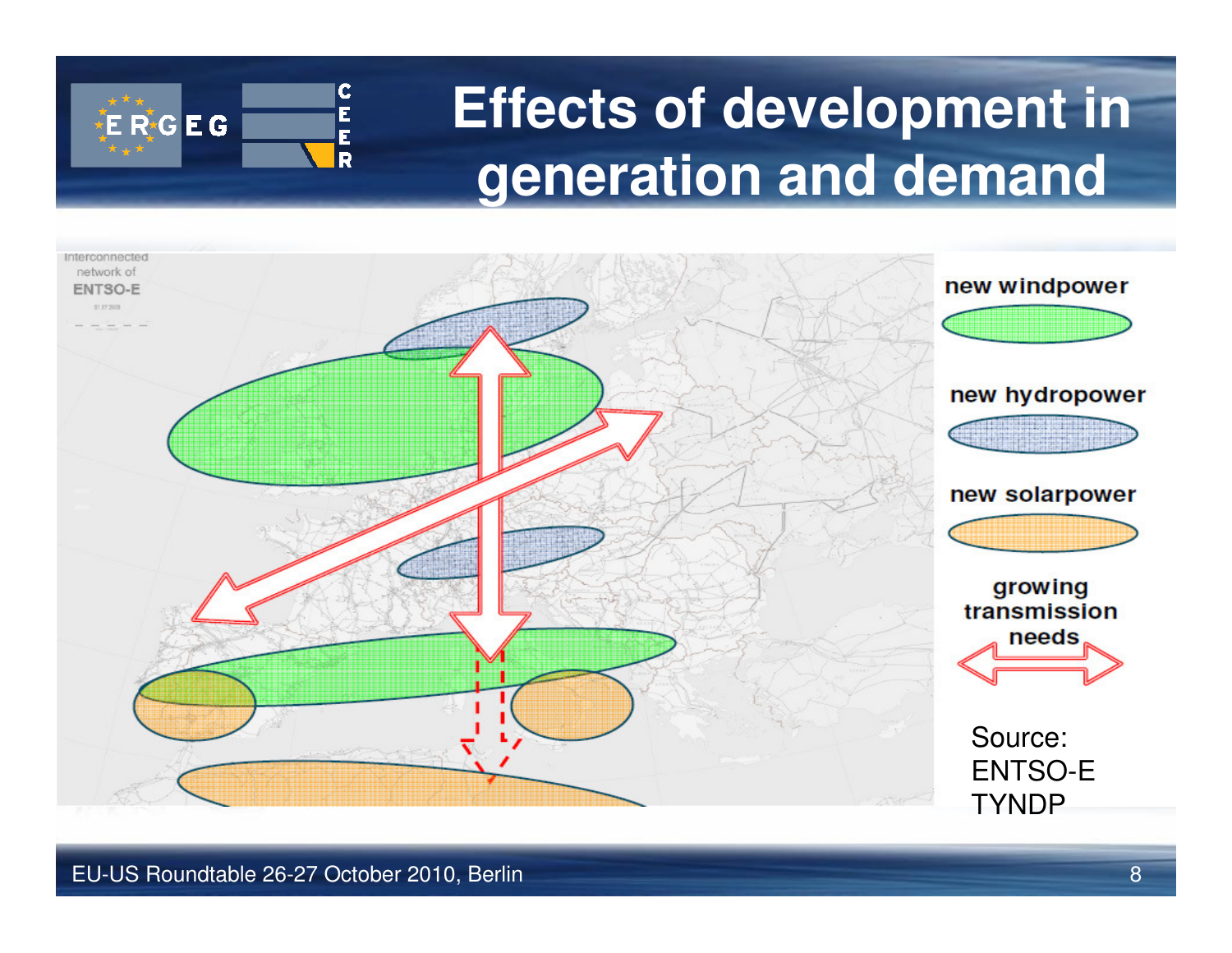

## **Effects of development in generation and demand**

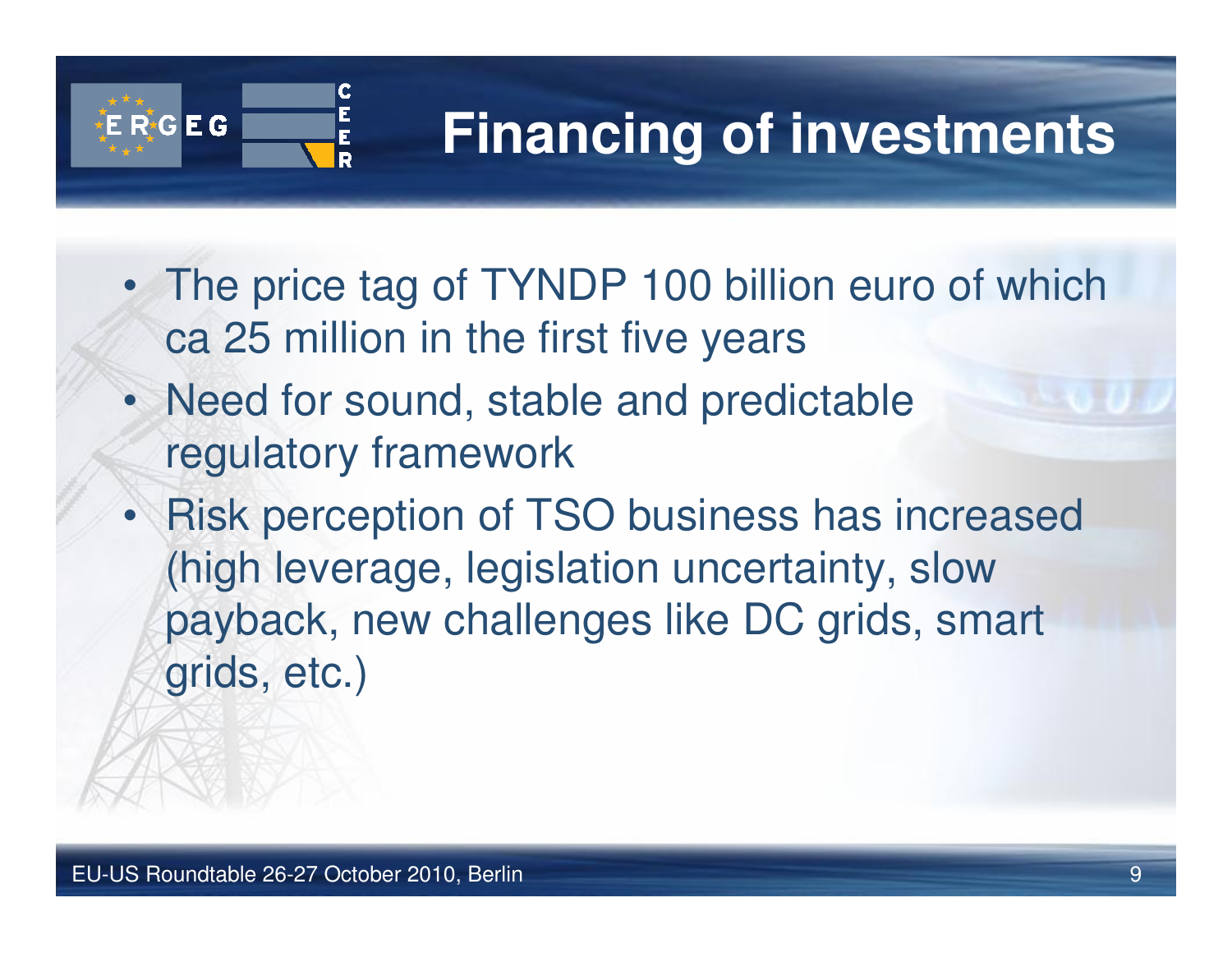

## **Financing of investments**

- The price tag of TYNDP 100 billion euro of which ca 25 million in the first five years
- Need for sound, stable and predictable regulatory framework
- • Risk perception of TSO business has increased (high leverage, legislation uncertainty, slow payback, new challenges like DC grids, smart grids, etc.)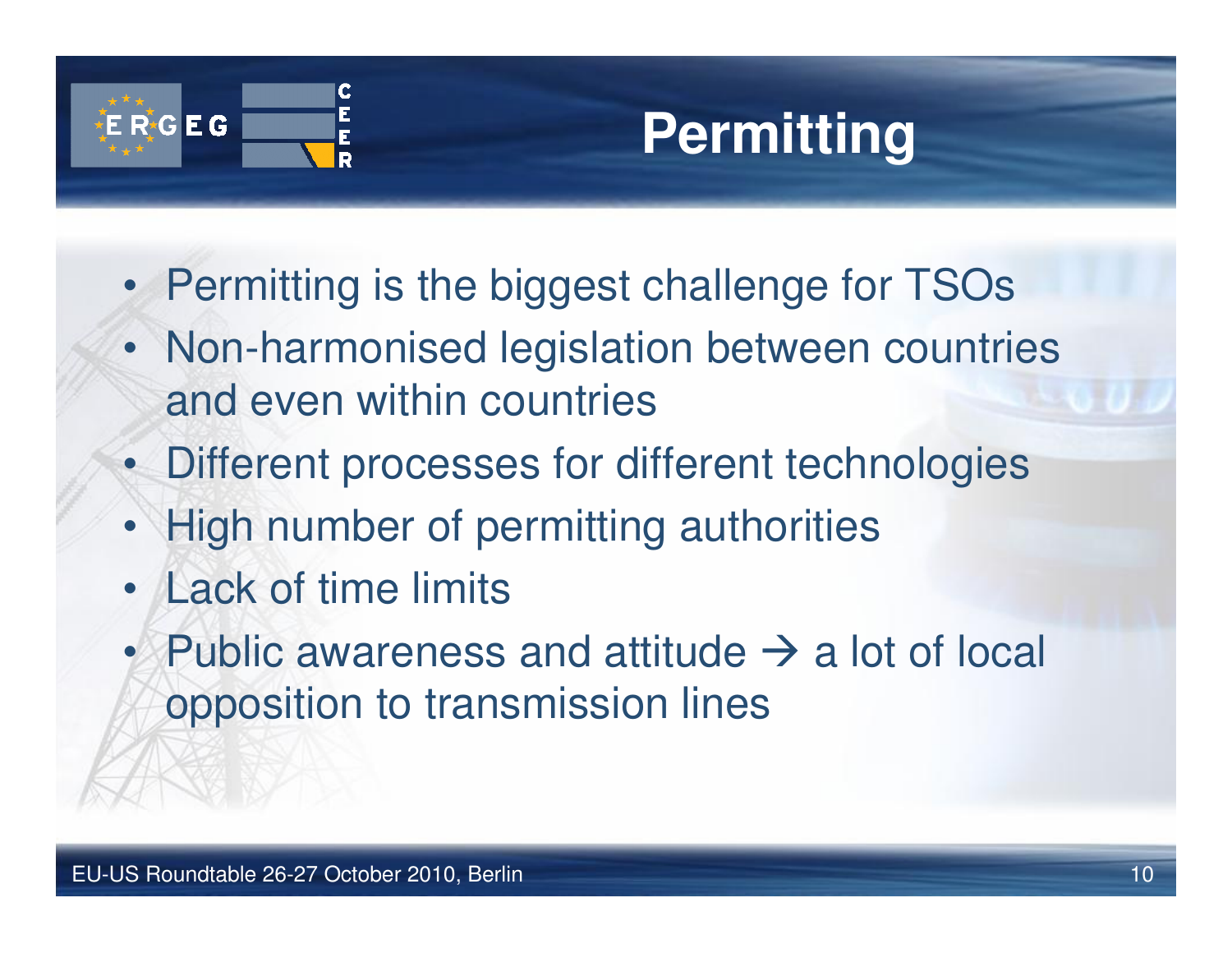

## **Permitting**

- Permitting is the biggest challenge for TSOs
- Non-harmonised legislation between countries and even within countries
- Different processes for different technologies
- High number of permitting authorities
- •Lack of time limits
- •Public awareness and attitude  $\rightarrow$  a lot of local annosition to transmission lines opposition to transmission lines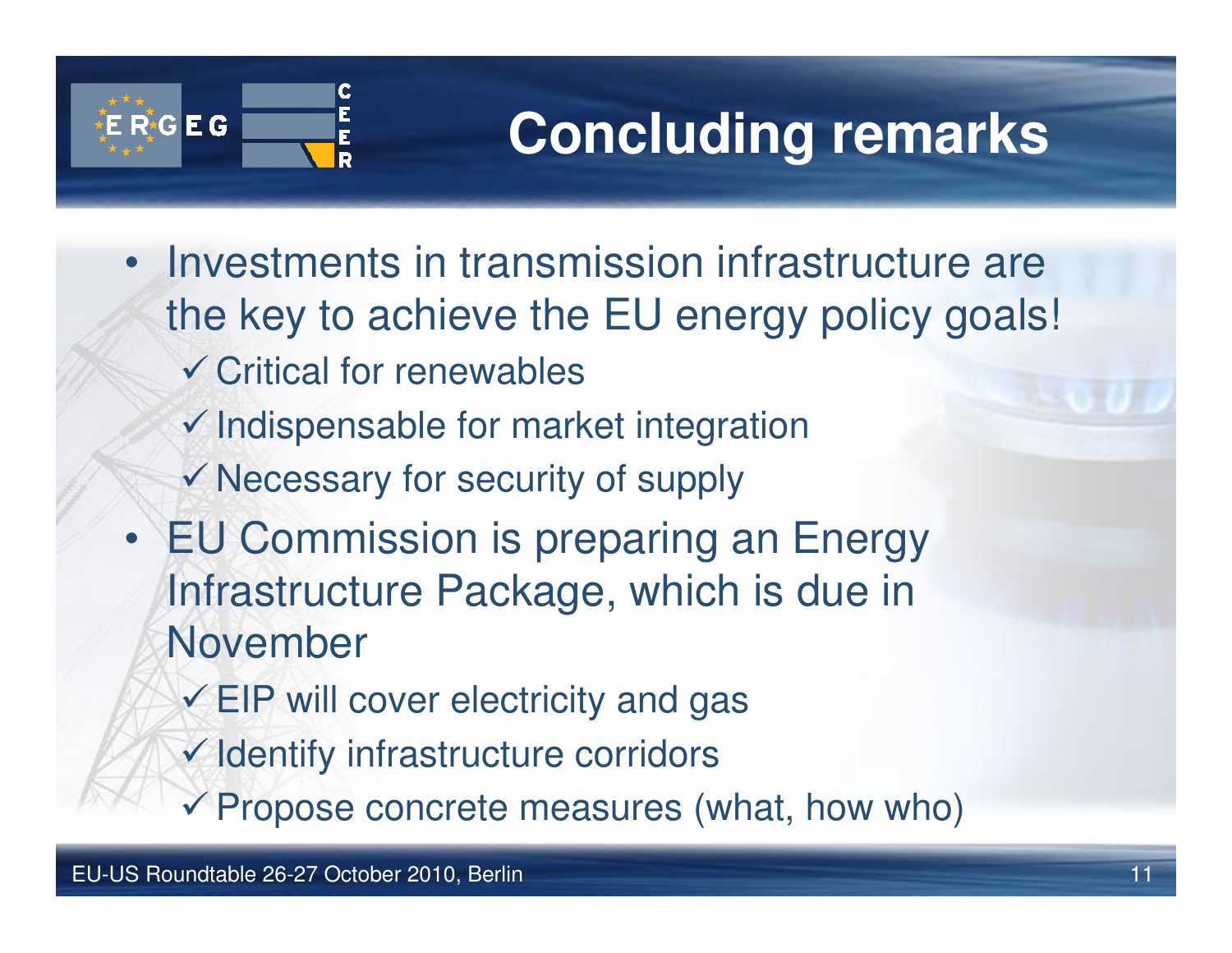

## **Concluding remarks**

- Investments in transmission infrastructure are the key to achieve the EU energy policy goals!
	- -Critical for renewables
	- $\checkmark$  Indispensable for market integration
	- -Necessary for security of supply
- EU Commission is preparing an Energy Infrastructure Package, which is due in November
	- $\checkmark$  EIP will cover electricity and gas
	- -Identify infrastructure corridors
	- -Propose concrete measures (what, how who)